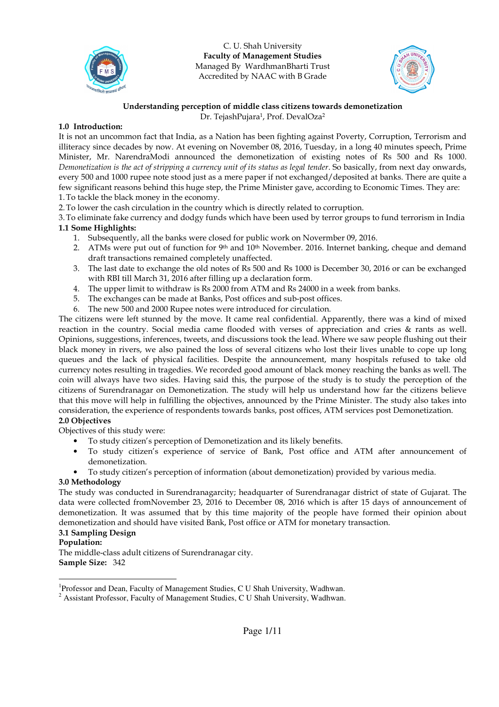

C. U. Shah University Faculty of Management Studies Managed By WardhmanBharti Trust Accredited by NAAC with B Grade



# Understanding perception of middle class citizens towards demonetization

Dr. TejashPujara<sup>1</sup>, Prof. DevalOza<sup>2</sup>

### 1.0 Introduction:

It is not an uncommon fact that India, as a Nation has been fighting against Poverty, Corruption, Terrorism and illiteracy since decades by now. At evening on November 08, 2016, Tuesday, in a long 40 minutes speech, Prime Minister, Mr. NarendraModi announced the demonetization of existing notes of Rs 500 and Rs 1000. Demonetization is the act of stripping a currency unit of its status as legal tender. So basically, from next day onwards, every 500 and 1000 rupee note stood just as a mere paper if not exchanged/deposited at banks. There are quite a few significant reasons behind this huge step, the Prime Minister gave, according to Economic Times. They are: 1.To tackle the black money in the economy.

2.To lower the cash circulation in the country which is directly related to corruption.

3.To eliminate fake currency and dodgy funds which have been used by terror groups to fund terrorism in India 1.1 Some Highlights:

- 1. Subsequently, all the banks were closed for public work on Novermber 09, 2016.
- 2. ATMs were put out of function for 9<sup>th</sup> and  $10<sup>th</sup>$  November. 2016. Internet banking, cheque and demand draft transactions remained completely unaffected.
- 3. The last date to exchange the old notes of Rs 500 and Rs 1000 is December 30, 2016 or can be exchanged with RBI till March 31, 2016 after filling up a declaration form.
- 4. The upper limit to withdraw is Rs 2000 from ATM and Rs 24000 in a week from banks.
- 5. The exchanges can be made at Banks, Post offices and sub-post offices.
- 6. The new 500 and 2000 Rupee notes were introduced for circulation.

The citizens were left stunned by the move. It came real confidential. Apparently, there was a kind of mixed reaction in the country. Social media came flooded with verses of appreciation and cries & rants as well. Opinions, suggestions, inferences, tweets, and discussions took the lead. Where we saw people flushing out their black money in rivers, we also pained the loss of several citizens who lost their lives unable to cope up long queues and the lack of physical facilities. Despite the announcement, many hospitals refused to take old currency notes resulting in tragedies. We recorded good amount of black money reaching the banks as well. The coin will always have two sides. Having said this, the purpose of the study is to study the perception of the citizens of Surendranagar on Demonetization. The study will help us understand how far the citizens believe that this move will help in fulfilling the objectives, announced by the Prime Minister. The study also takes into consideration, the experience of respondents towards banks, post offices, ATM services post Demonetization. 2.0 Objectives

Objectives of this study were:

- To study citizen's perception of Demonetization and its likely benefits.
- To study citizen's experience of service of Bank, Post office and ATM after announcement of demonetization.
- To study citizen's perception of information (about demonetization) provided by various media.

# 3.0 Methodology

The study was conducted in Surendranagarcity; headquarter of Surendranagar district of state of Gujarat. The data were collected fromNovember 23, 2016 to December 08, 2016 which is after 15 days of announcement of demonetization. It was assumed that by this time majority of the people have formed their opinion about demonetization and should have visited Bank, Post office or ATM for monetary transaction.

#### 3.1 Sampling Design

#### Population:

The middle-class adult citizens of Surendranagar city. Sample Size: 342

<sup>-</sup><sup>1</sup>Professor and Dean, Faculty of Management Studies, C U Shah University, Wadhwan.

 $2$  Assistant Professor, Faculty of Management Studies, C U Shah University, Wadhwan.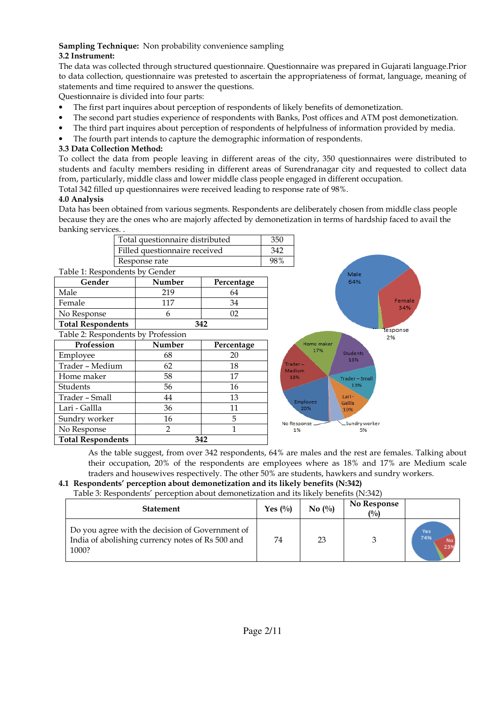### Sampling Technique: Non probability convenience sampling 3.2 Instrument:

The data was collected through structured questionnaire. Questionnaire was prepared in Gujarati language.Prior to data collection, questionnaire was pretested to ascertain the appropriateness of format, language, meaning of statements and time required to answer the questions.

Questionnaire is divided into four parts:

- The first part inquires about perception of respondents of likely benefits of demonetization.
- The second part studies experience of respondents with Banks, Post offices and ATM post demonetization.
- The third part inquires about perception of respondents of helpfulness of information provided by media.
- The fourth part intends to capture the demographic information of respondents.

# 3.3 Data Collection Method:

To collect the data from people leaving in different areas of the city, 350 questionnaires were distributed to students and faculty members residing in different areas of Surendranagar city and requested to collect data from, particularly, middle class and lower middle class people engaged in different occupation. Total 342 filled up questionnaires were received leading to response rate of 98%.

# 4.0 Analysis

Data has been obtained from various segments. Respondents are deliberately chosen from middle class people because they are the ones who are majorly affected by demonetization in terms of hardship faced to avail the banking services. .

| Total questionnaire distributed | 350 |
|---------------------------------|-----|
| Filled questionnaire received   | 342 |
| Response rate                   |     |
| $-1 - 1 - 1 - 2 - 1 -$          |     |

Table 1: Respondents by Gender

| Gender                   | Number<br>Percentage |     |  |
|--------------------------|----------------------|-----|--|
| Male                     | 219                  | 64  |  |
| Female                   | 117                  |     |  |
| No Response              |                      |     |  |
| <b>Total Respondents</b> |                      | 347 |  |

Table 2: Respondents by Profession

| $1400C$ 2. Respondents by Trolession |               |            |  |  |  |  |
|--------------------------------------|---------------|------------|--|--|--|--|
| Profession                           | Number        | Percentage |  |  |  |  |
| Employee                             | 68            | 20         |  |  |  |  |
| Trader - Medium                      | 62            | 18         |  |  |  |  |
| Home maker                           | 58            | 17         |  |  |  |  |
| Students                             | 56            | 16         |  |  |  |  |
| Trader - Small                       | 44            | 13         |  |  |  |  |
| Lari - Gallla                        | 36            | 11         |  |  |  |  |
| Sundry worker                        | 16            | 5          |  |  |  |  |
| No Response                          | $\mathcal{P}$ |            |  |  |  |  |
| <b>Total Respondents</b>             | 342           |            |  |  |  |  |



As the table suggest, from over 342 respondents, 64% are males and the rest are females. Talking about their occupation, 20% of the respondents are employees where as 18% and 17% are Medium scale traders and housewives respectively. The other 50% are students, hawkers and sundry workers.

#### 4.1 Respondents' perception about demonetization and its likely benefits (N:342) Table 3: Respondents' perception about demonetization and its likely benefits (N:342)

| Table 5: Respondents "perception about demonetization and its likely benefits (iN:542)                       |                                |                               |                                      |                              |  |  |
|--------------------------------------------------------------------------------------------------------------|--------------------------------|-------------------------------|--------------------------------------|------------------------------|--|--|
| <b>Statement</b>                                                                                             | Yes $\left(\frac{0}{0}\right)$ | No $\left(\frac{0}{0}\right)$ | <b>No Response</b><br>$\binom{0}{0}$ |                              |  |  |
| Do you agree with the decision of Government of<br>India of abolishing currency notes of Rs 500 and<br>1000? | 74                             | 23                            |                                      | Yes<br>74%<br>$rac{No}{239}$ |  |  |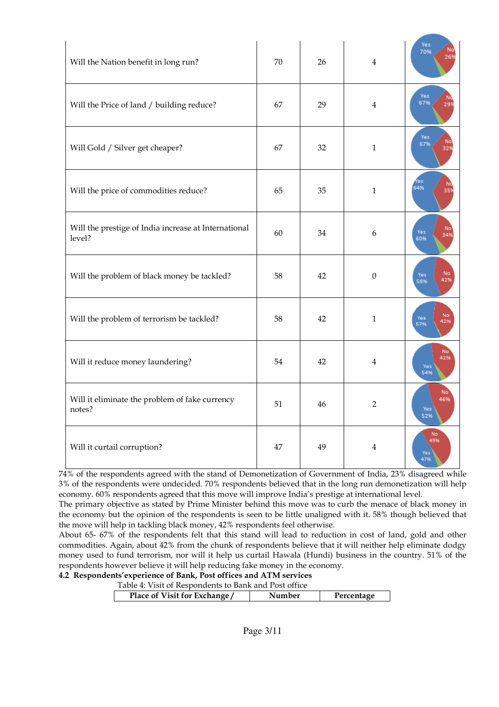| Will the Nation benefit in long run?                           | 70 | 26 | 4                | Yes<br>70%<br>269                    |
|----------------------------------------------------------------|----|----|------------------|--------------------------------------|
| Will the Price of land / building reduce?                      | 67 | 29 | 4                | Yes<br>N<br>67%<br>299               |
| Will Gold / Silver get cheaper?                                | 67 | 32 | $\mathbf{1}$     | Yes<br>No<br>67%<br>32%              |
| Will the price of commodities reduce?                          | 65 | 35 | $\mathbf{1}$     | Yes<br>$rac{N}{35%}$<br>64%          |
| Will the prestige of India increase at International<br>level? | 60 | 34 | 6                | No <sup>1</sup><br>Yes<br>34%<br>60% |
| Will the problem of black money be tackled?                    | 58 | 42 | $\boldsymbol{0}$ | No<br>Yes<br>42%<br>58%              |
| Will the problem of terrorism be tackled?                      | 58 | 42 | $\mathbf{1}$     | No<br>Yes<br>57%<br>42%              |
| Will it reduce money laundering?                               | 54 | 42 | 4                | No <sup>1</sup><br>42%<br>Yes<br>54% |
| Will it eliminate the problem of fake currency<br>notes?       | 51 | 46 | 2                | No <sup>1</sup><br>46%<br>Yes<br>52% |
| Will it curtail corruption?                                    | 47 | 49 | 4                | No<br>49%<br>Yes<br>47%              |

74% of the respondents agreed with the stand of Demonetization of Government of India, 23% disagreed while 3% of the respondents were undecided. 70% respondents believed that in the long run demonetization will help economy. 60% respondents agreed that this move will improve India's prestige at international level.

The primary objective as stated by Prime Minister behind this move was to curb the menace of black money in the economy but the opinion of the respondents is seen to be little unaligned with it. 58% though believed that the move will help in tackling black money, 42% respondents feel otherwise.

About 65- 67% of the respondents felt that this stand will lead to reduction in cost of land, gold and other commodities. Again, about 42% from the chunk of respondents believe that it will neither help eliminate dodgy money used to fund terrorism, nor will it help us curtail Hawala (Hundi) business in the country. 51% of the respondents however believe it will help reducing fake money in the economy.

# 4.2 Respondents'experience of Bank, Post offices and ATM services

| Table 4: Visit of Respondents to Bank and Post office |            |  |  |  |
|-------------------------------------------------------|------------|--|--|--|
| Place of Visit for Exchange/<br>Number                | Percentage |  |  |  |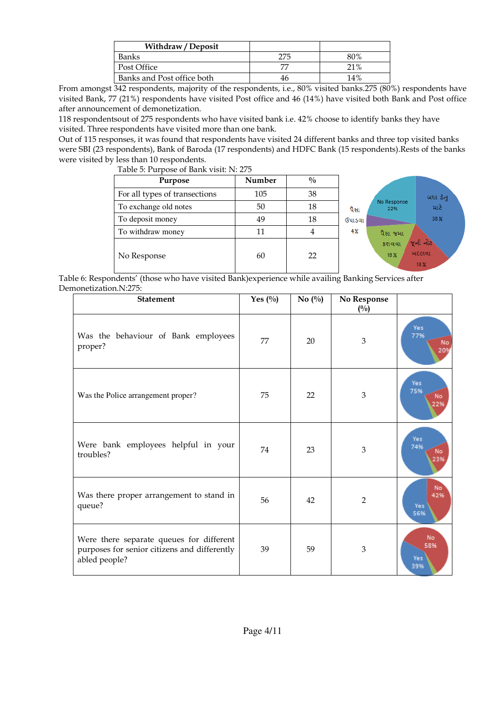| Withdraw / Deposit         |    |     |
|----------------------------|----|-----|
| Banks                      |    | 80% |
| Post Office                |    | 21% |
| Banks and Post office both | 46 | 14% |

From amongst 342 respondents, majority of the respondents, i.e., 80% visited banks.275 (80%) respondents have visited Bank, 77 (21%) respondents have visited Post office and 46 (14%) have visited both Bank and Post office after announcement of demonetization.

118 respondentsout of 275 respondents who have visited bank i.e. 42% choose to identify banks they have visited. Three respondents have visited more than one bank.

Out of 115 responses, it was found that respondents have visited 24 different banks and three top visited banks were SBI (23 respondents), Bank of Baroda (17 respondents) and HDFC Bank (15 respondents).Rests of the banks were visited by less than 10 respondents.

| Table 5: Purpose of Bank visit: N: 275 |  |
|----------------------------------------|--|
|                                        |  |

| Purpose                       | Number | $\frac{0}{0}$ |        |                    |                          |
|-------------------------------|--------|---------------|--------|--------------------|--------------------------|
| For all types of transections | 105    | 38            |        |                    | બધા ઠેતુ                 |
| To exchange old notes         | 50     | 18            | પૈસા   | No Response<br>22% | માટે                     |
| To deposit money              | 49     | 18            | ઉપાડવા |                    | 38%                      |
| To withdraw money             | 11     | 4             | 4%     | પૈસા જમા/          |                          |
| No Response                   | 60     | 22            |        | કરાવવા<br>18%      | જૂની નોટ<br>બદલવા<br>18% |

Table 6: Respondents' (those who have visited Bank)experience while availing Banking Services after Demonetization.N:275:

| <b>Statement</b>                                                                                          | Yes $(^{0}_{0})$ | No $\left(\frac{0}{0}\right)$ | No Response<br>(0/0) |                         |
|-----------------------------------------------------------------------------------------------------------|------------------|-------------------------------|----------------------|-------------------------|
| Was the behaviour of Bank employees<br>proper?                                                            | 77               | 20                            | 3                    | Yes<br>77%<br>No<br>20% |
| Was the Police arrangement proper?                                                                        | 75               | 22                            | 3                    | Yes<br>75%<br>No<br>22% |
| Were bank employees helpful in your<br>troubles?                                                          | 74               | 23                            | 3                    | Yes<br>74%<br>No<br>23% |
| Was there proper arrangement to stand in<br>queue?                                                        | 56               | 42                            | $\overline{2}$       | No<br>42%<br>Yes<br>56% |
| Were there separate queues for different<br>purposes for senior citizens and differently<br>abled people? | 39               | 59                            | 3                    | No<br>58%<br>Yes<br>39% |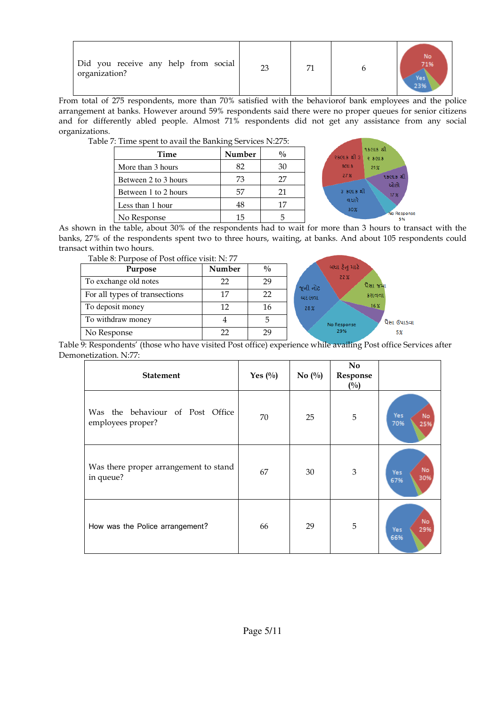| Did you receive any help from social<br>organization? | 23 | 71 |  | 7104<br>Yesi<br>23% |
|-------------------------------------------------------|----|----|--|---------------------|
|-------------------------------------------------------|----|----|--|---------------------|

From total of 275 respondents, more than 70% satisfied with the behaviorof bank employees and the police arrangement at banks. However around 59% respondents said there were no proper queues for senior citizens and for differently abled people. Almost 71% respondents did not get any assistance from any social organizations.

Table 7: Time spent to avail the Banking Services N:275:

| Time                 | Number | $\frac{0}{0}$ |
|----------------------|--------|---------------|
| More than 3 hours    | 82     | 30            |
| Between 2 to 3 hours | 73     | 27            |
| Between 1 to 2 hours | 57     | 21            |
| Less than 1 hour     | 48     | 17            |
| No Response          | 15     |               |



As shown in the table, about 30% of the respondents had to wait for more than 3 hours to transact with the banks, 27% of the respondents spent two to three hours, waiting, at banks. And about 105 respondents could transact within two hours.

| Table 8: Purpose of Post office visit: N: 77 |  |  |
|----------------------------------------------|--|--|
|----------------------------------------------|--|--|

| Table 0. I dipose of I ost office visit. IN. 77 |        |               |                            |
|-------------------------------------------------|--------|---------------|----------------------------|
| Purpose                                         | Number | $\frac{0}{0}$ | બધા ફેતુ માટે<br>22%       |
| To exchange old notes                           | 22     | 29            | પૈસા જમા<br>જૂની નોટ       |
| For all types of transections                   | 17     | 22            | કરાવવા<br>બદલવા            |
| To deposit money                                | 12     | 16            | 16 <sub>8</sub><br>28%     |
| To withdraw money                               |        |               | પૈસા ઉપાડવા<br>No Response |
| No Response                                     | 22     | 29            | 29%<br>5%                  |

Table 9: Respondents' (those who have visited Post office) experience while availing Post office Services after Demonetization. N:77:

| <b>Statement</b>                                      | Yes $(\%)$ | No $\left(\frac{0}{0}\right)$ | No<br>Response<br>$(^{0}/_{0})$ |                         |
|-------------------------------------------------------|------------|-------------------------------|---------------------------------|-------------------------|
| Was the behaviour of Post Office<br>employees proper? | 70         | 25                            | 5                               | Yes<br>No<br>70%<br>25% |
| Was there proper arrangement to stand<br>in queue?    | 67         | 30                            | $\mathfrak{B}$                  | No<br>Yes<br>30%<br>67% |
| How was the Police arrangement?                       | 66         | 29                            | 5                               | No<br>29%<br>Yes<br>66% |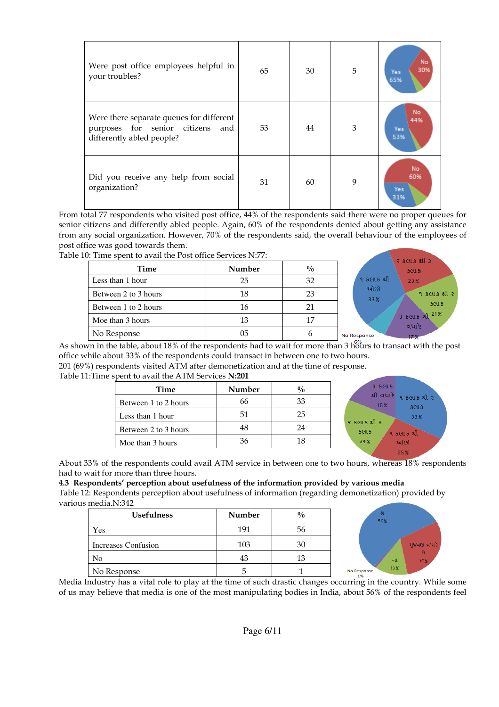| Were post office employees helpful in<br>your troubles?                                                      | 65 | 30 | 5 | No<br>30%<br>Yes<br>65%  |
|--------------------------------------------------------------------------------------------------------------|----|----|---|--------------------------|
| Were there separate queues for different<br>purposes for senior citizens<br>and<br>differently abled people? | 53 | 44 | 3 | No<br>44%<br>Yes:<br>53% |
| Did you receive any help from social<br>organization?                                                        | 31 | 60 | 9 | No<br>60%<br>Yes<br>31%  |

From total 77 respondents who visited post office, 44% of the respondents said there were no proper queues for senior citizens and differently abled people. Again, 60% of the respondents denied about getting any assistance from any social organization. However, 70% of the respondents said, the overall behaviour of the employees of post office was good towards them.

Table 10: Time spent to avail the Post office Services N:77:

| Time                 | Number | $\frac{0}{0}$ | ર કલાક થી ૩<br><b>SCUS</b> |
|----------------------|--------|---------------|----------------------------|
| Less than 1 hour     | 25     | 32            | ૧ કલાક શી<br>23%           |
| Between 2 to 3 hours | 18     | 23            | ઓછો<br>૧ કલાક શ<br>33%     |
| Between 1 to 2 hours | 16     | 21            | <b>SCILS</b>               |
| Moe than 3 hours     | 13     | 17            | 3 scus al 21%<br>વધારે     |
| No Response          | 05     | n             | No Response<br>179<br>$-$  |

As shown in the table, about 18% of the respondents had to wait for more than 3 hours to transact with the post office while about 33% of the respondents could transact in between one to two hours. 201 (69%) respondents visited ATM after demonetization and at the time of response. Table 11:Time spent to avail the ATM Services N:201

| Time                 | Number | $\frac{0}{0}$ |  |  |
|----------------------|--------|---------------|--|--|
| Between 1 to 2 hours | 66     | 33            |  |  |
| Less than 1 hour     | 51     | 25            |  |  |
| Between 2 to 3 hours | 48     | 24            |  |  |
| Moe than 3 hours     | 36     | 18            |  |  |



About 33% of the respondents could avail ATM service in between one to two hours, whereas 18% respondents had to wait for more than three hours.

#### 4.3 Respondents' perception about usefulness of the information provided by various media

Table 12: Respondents perception about usefulness of information (regarding demonetization) provided by various media.N:342

| <b>Usefulness</b>   | Number | $\frac{0}{0}$ |                         |
|---------------------|--------|---------------|-------------------------|
| Yes                 | 191    | 56            |                         |
| Increases Confusion | 103    | 30            |                         |
| No                  | 43     |               |                         |
| No Response         | ∽      |               | <b>No Respo</b><br>1.04 |



Media Industry has a vital role to play at the time of such drastic changes occurring in the country. While some of us may believe that media is one of the most manipulating bodies in India, about 56% of the respondents feel